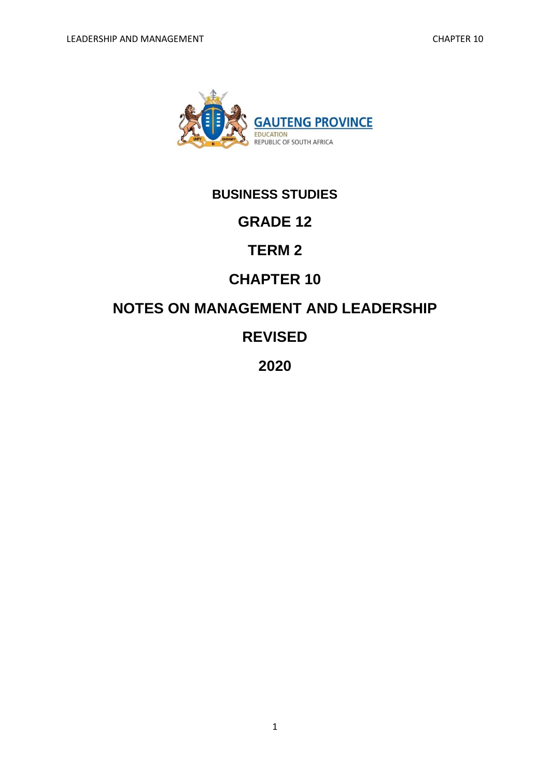

# **BUSINESS STUDIES**

# **GRADE 12**

# **TERM 2**

# **CHAPTER 10**

# **NOTES ON MANAGEMENT AND LEADERSHIP**

# **REVISED**

# **2020**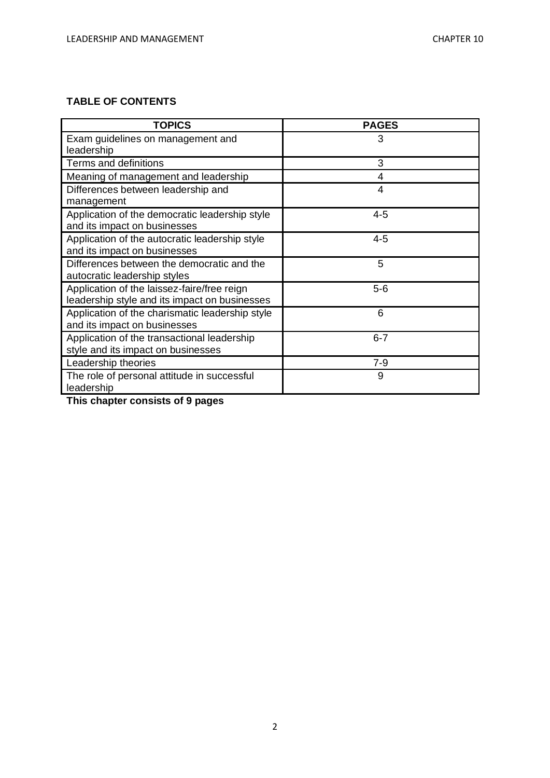## **TABLE OF CONTENTS**

| <b>TOPICS</b>                                                                                | <b>PAGES</b> |
|----------------------------------------------------------------------------------------------|--------------|
| Exam guidelines on management and<br>leadership                                              | 3            |
| Terms and definitions                                                                        | 3            |
| Meaning of management and leadership                                                         | 4            |
| Differences between leadership and<br>management                                             | 4            |
| Application of the democratic leadership style<br>and its impact on businesses               | $4 - 5$      |
| Application of the autocratic leadership style<br>and its impact on businesses               | $4 - 5$      |
| Differences between the democratic and the<br>autocratic leadership styles                   | 5            |
| Application of the laissez-faire/free reign<br>leadership style and its impact on businesses | $5-6$        |
| Application of the charismatic leadership style<br>and its impact on businesses              | 6            |
| Application of the transactional leadership<br>style and its impact on businesses            | $6 - 7$      |
| Leadership theories                                                                          | $7 - 9$      |
| The role of personal attitude in successful<br>leadership                                    | 9            |

**This chapter consists of 9 pages**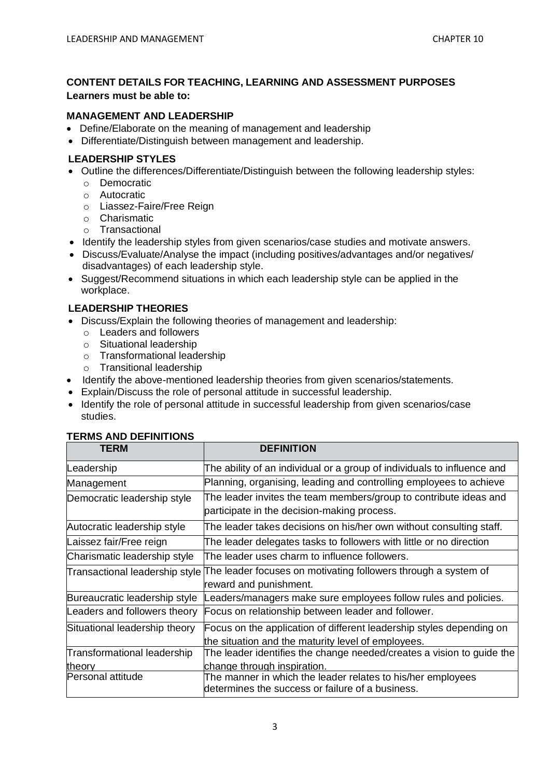## **CONTENT DETAILS FOR TEACHING, LEARNING AND ASSESSMENT PURPOSES Learners must be able to:**

### **MANAGEMENT AND LEADERSHIP**

- Define/Elaborate on the meaning of management and leadership
- Differentiate/Distinguish between management and leadership.

#### **LEADERSHIP STYLES**

- Outline the differences/Differentiate/Distinguish between the following leadership styles:
	- o Democratic
	- o Autocratic
	- o Liassez-Faire/Free Reign
	- o Charismatic
	- o Transactional
- Identify the leadership styles from given scenarios/case studies and motivate answers.
- Discuss/Evaluate/Analyse the impact (including positives/advantages and/or negatives/ disadvantages) of each leadership style.
- Suggest/Recommend situations in which each leadership style can be applied in the workplace.

### **LEADERSHIP THEORIES**

- Discuss/Explain the following theories of management and leadership:
	- o Leaders and followers
	- o Situational leadership
	- o Transformational leadership
	- o Transitional leadership
- Identify the above-mentioned leadership theories from given scenarios/statements.
- Explain/Discuss the role of personal attitude in successful leadership.
- Identify the role of personal attitude in successful leadership from given scenarios/case studies.

#### **TERMS AND DEFINITIONS**

| <b>TERM</b>                           | <b>DEFINITION</b>                                                                                                          |
|---------------------------------------|----------------------------------------------------------------------------------------------------------------------------|
| Leadership                            | The ability of an individual or a group of individuals to influence and                                                    |
| Management                            | Planning, organising, leading and controlling employees to achieve                                                         |
| Democratic leadership style           | The leader invites the team members/group to contribute ideas and<br>participate in the decision-making process.           |
| Autocratic leadership style           | The leader takes decisions on his/her own without consulting staff.                                                        |
| Laissez fair/Free reign               | The leader delegates tasks to followers with little or no direction                                                        |
| Charismatic leadership style          | The leader uses charm to influence followers.                                                                              |
| Transactional leadership style        | The leader focuses on motivating followers through a system of<br>reward and punishment.                                   |
| Bureaucratic leadership style         | Leaders/managers make sure employees follow rules and policies.                                                            |
| Leaders and followers theory          | Focus on relationship between leader and follower.                                                                         |
| Situational leadership theory         | Focus on the application of different leadership styles depending on<br>the situation and the maturity level of employees. |
| Transformational leadership<br>theory | The leader identifies the change needed/creates a vision to guide the<br>change through inspiration.                       |
| Personal attitude                     | The manner in which the leader relates to his/her employees<br>determines the success or failure of a business.            |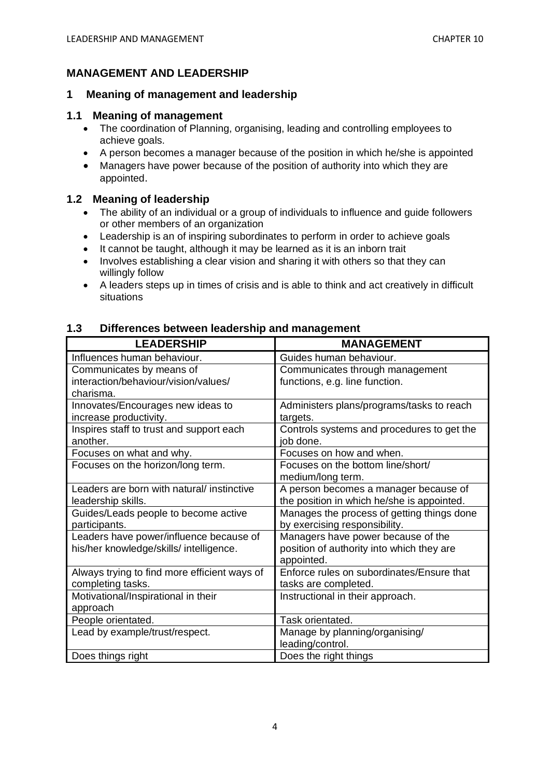## **MANAGEMENT AND LEADERSHIP**

### **1 Meaning of management and leadership**

#### **1.1 Meaning of management**

- The coordination of Planning, organising, leading and controlling employees to achieve goals.
- A person becomes a manager because of the position in which he/she is appointed
- Managers have power because of the position of authority into which they are appointed.

### **1.2 Meaning of leadership**

- The ability of an individual or a group of individuals to influence and guide followers or other members of an organization
- Leadership is an of inspiring subordinates to perform in order to achieve goals
- It cannot be taught, although it may be learned as it is an inborn trait
- Involves establishing a clear vision and sharing it with others so that they can willingly follow
- A leaders steps up in times of crisis and is able to think and act creatively in difficult situations

### **1.3 Differences between leadership and management**

| <b>LEADERSHIP</b>                            | <b>MANAGEMENT</b>                          |
|----------------------------------------------|--------------------------------------------|
| Influences human behaviour.                  | Guides human behaviour.                    |
| Communicates by means of                     | Communicates through management            |
| interaction/behaviour/vision/values/         | functions, e.g. line function.             |
| charisma.                                    |                                            |
| Innovates/Encourages new ideas to            | Administers plans/programs/tasks to reach  |
| increase productivity.                       | targets.                                   |
| Inspires staff to trust and support each     | Controls systems and procedures to get the |
| another.                                     | job done.                                  |
| Focuses on what and why.                     | Focuses on how and when.                   |
| Focuses on the horizon/long term.            | Focuses on the bottom line/short/          |
|                                              | medium/long term.                          |
| Leaders are born with natural/ instinctive   | A person becomes a manager because of      |
| leadership skills.                           | the position in which he/she is appointed. |
| Guides/Leads people to become active         | Manages the process of getting things done |
| participants.                                | by exercising responsibility.              |
| Leaders have power/influence because of      | Managers have power because of the         |
| his/her knowledge/skills/ intelligence.      | position of authority into which they are  |
|                                              | appointed.                                 |
| Always trying to find more efficient ways of | Enforce rules on subordinates/Ensure that  |
| completing tasks.                            | tasks are completed.                       |
| Motivational/Inspirational in their          | Instructional in their approach.           |
| approach                                     |                                            |
| People orientated.                           | Task orientated.                           |
| Lead by example/trust/respect.               | Manage by planning/organising/             |
|                                              | leading/control.                           |
| Does things right                            | Does the right things                      |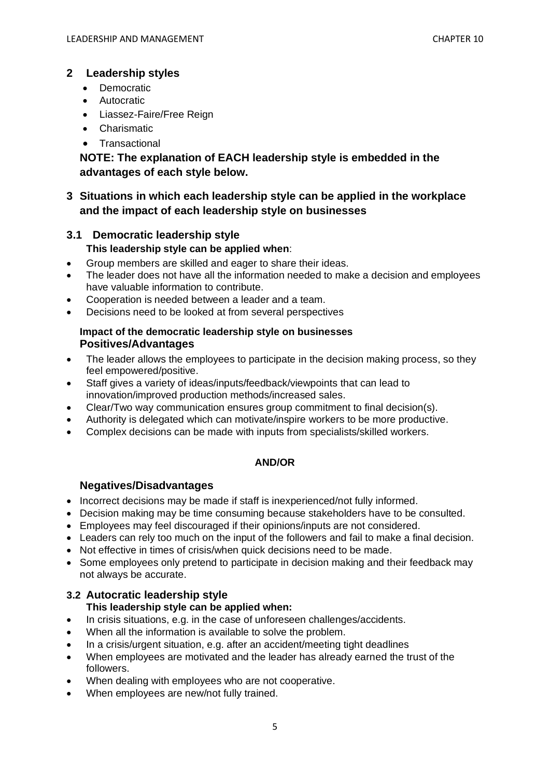## **2 Leadership styles**

- Democratic
- Autocratic
- Liassez-Faire/Free Reign
- Charismatic
- Transactional

## **NOTE: The explanation of EACH leadership style is embedded in the advantages of each style below.**

## **3 Situations in which each leadership style can be applied in the workplace and the impact of each leadership style on businesses**

## **3.1 Democratic leadership style This leadership style can be applied when**:

- Group members are skilled and eager to share their ideas.
- The leader does not have all the information needed to make a decision and employees have valuable information to contribute.
- Cooperation is needed between a leader and a team.
- Decisions need to be looked at from several perspectives

### **Impact of the democratic leadership style on businesses Positives/Advantages**

- The leader allows the employees to participate in the decision making process, so they feel empowered/positive.
- Staff gives a variety of ideas/inputs/feedback/viewpoints that can lead to innovation/improved production methods/increased sales.
- Clear/Two way communication ensures group commitment to final decision(s).
- Authority is delegated which can motivate/inspire workers to be more productive.
- Complex decisions can be made with inputs from specialists/skilled workers.

### **AND/OR**

## **Negatives/Disadvantages**

- Incorrect decisions may be made if staff is inexperienced/not fully informed.
- Decision making may be time consuming because stakeholders have to be consulted.
- Employees may feel discouraged if their opinions/inputs are not considered.
- Leaders can rely too much on the input of the followers and fail to make a final decision.
- Not effective in times of crisis/when quick decisions need to be made.
- Some employees only pretend to participate in decision making and their feedback may not always be accurate.

## **3.2 Autocratic leadership style**

## **This leadership style can be applied when:**

- In crisis situations, e.g. in the case of unforeseen challenges/accidents.
- When all the information is available to solve the problem.
- In a crisis/urgent situation, e.g. after an accident/meeting tight deadlines
- When employees are motivated and the leader has already earned the trust of the followers.
- When dealing with employees who are not cooperative.
- When employees are new/not fully trained.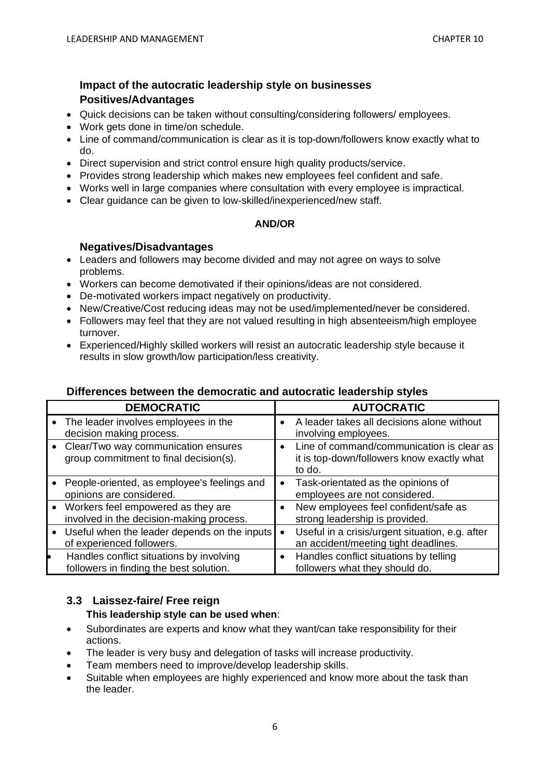## **Impact of the autocratic leadership style on businesses Positives/Advantages**

- Quick decisions can be taken without consulting/considering followers/ employees.
- Work gets done in time/on schedule.
- Line of command/communication is clear as it is top-down/followers know exactly what to do.
- Direct supervision and strict control ensure high quality products/service.
- Provides strong leadership which makes new employees feel confident and safe.
- Works well in large companies where consultation with every employee is impractical.
- Clear guidance can be given to low-skilled/inexperienced/new staff.

### **AND/OR**

### **Negatives/Disadvantages**

- Leaders and followers may become divided and may not agree on ways to solve problems.
- Workers can become demotivated if their opinions/ideas are not considered.
- De-motivated workers impact negatively on productivity.
- New/Creative/Cost reducing ideas may not be used/implemented/never be considered.
- Followers may feel that they are not valued resulting in high absenteeism/high employee turnover.
- Experienced/Highly skilled workers will resist an autocratic leadership style because it results in slow growth/low participation/less creativity.

## **Differences between the democratic and autocratic leadership styles**

| <b>DEMOCRATIC</b>                                                                   |           | <b>AUTOCRATIC</b>                                                                                 |
|-------------------------------------------------------------------------------------|-----------|---------------------------------------------------------------------------------------------------|
| • The leader involves employees in the<br>decision making process.                  |           | A leader takes all decisions alone without<br>involving employees.                                |
| • Clear/Two way communication ensures<br>group commitment to final decision(s).     |           | Line of command/communication is clear as<br>it is top-down/followers know exactly what<br>to do. |
| People-oriented, as employee's feelings and<br>opinions are considered.             | $\bullet$ | Task-orientated as the opinions of<br>employees are not considered.                               |
| • Workers feel empowered as they are<br>involved in the decision-making process.    |           | New employees feel confident/safe as<br>strong leadership is provided.                            |
| • Useful when the leader depends on the inputs<br>of experienced followers.         |           | Useful in a crisis/urgent situation, e.g. after<br>an accident/meeting tight deadlines.           |
| Handles conflict situations by involving<br>followers in finding the best solution. | $\bullet$ | Handles conflict situations by telling<br>followers what they should do.                          |

### **3.3 Laissez-faire/ Free reign This leadership style can be used when**:

- Subordinates are experts and know what they want/can take responsibility for their actions.
- The leader is very busy and delegation of tasks will increase productivity.
- Team members need to improve/develop leadership skills.
- Suitable when employees are highly experienced and know more about the task than the leader.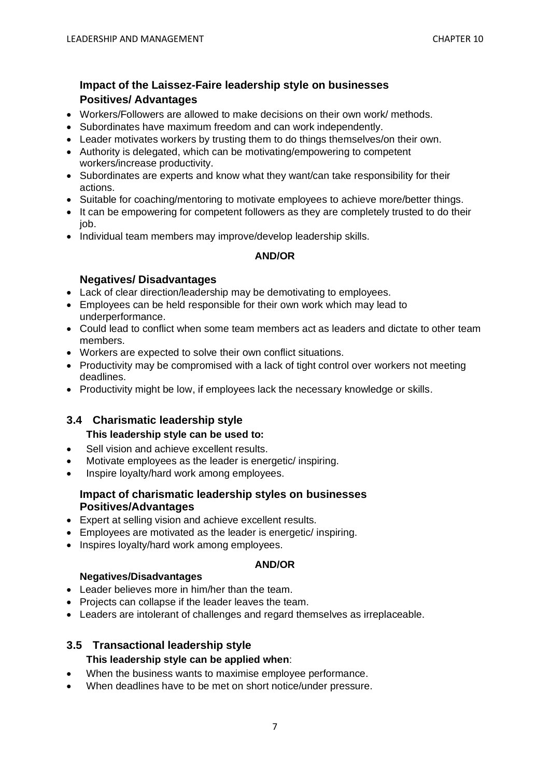## **Impact of the Laissez-Faire leadership style on businesses Positives/ Advantages**

- Workers/Followers are allowed to make decisions on their own work/ methods.
- Subordinates have maximum freedom and can work independently.
- Leader motivates workers by trusting them to do things themselves/on their own.
- Authority is delegated, which can be motivating/empowering to competent workers/increase productivity.
- Subordinates are experts and know what they want/can take responsibility for their actions.
- Suitable for coaching/mentoring to motivate employees to achieve more/better things.
- It can be empowering for competent followers as they are completely trusted to do their job.
- Individual team members may improve/develop leadership skills.

### **AND/OR**

## **Negatives/ Disadvantages**

- Lack of clear direction/leadership may be demotivating to employees.
- Employees can be held responsible for their own work which may lead to underperformance.
- Could lead to conflict when some team members act as leaders and dictate to other team members.
- Workers are expected to solve their own conflict situations.
- Productivity may be compromised with a lack of tight control over workers not meeting deadlines.
- Productivity might be low, if employees lack the necessary knowledge or skills.

## **3.4 Charismatic leadership style**

- **This leadership style can be used to:**
- Sell vision and achieve excellent results.
- Motivate employees as the leader is energetic/ inspiring.
- Inspire loyalty/hard work among employees.

### **Impact of charismatic leadership styles on businesses Positives/Advantages**

- Expert at selling vision and achieve excellent results.
- Employees are motivated as the leader is energetic/ inspiring.
- Inspires loyalty/hard work among employees.

### **AND/OR**

### **Negatives/Disadvantages**

- Leader believes more in him/her than the team.
- Projects can collapse if the leader leaves the team.
- Leaders are intolerant of challenges and regard themselves as irreplaceable.

## **3.5 Transactional leadership style**

## **This leadership style can be applied when**:

- When the business wants to maximise employee performance.
- When deadlines have to be met on short notice/under pressure.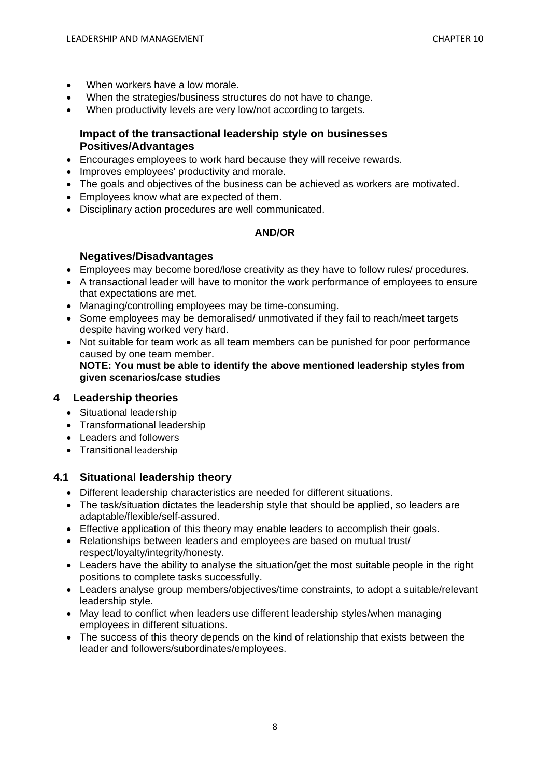- When workers have a low morale.
- When the strategies/business structures do not have to change.
- When productivity levels are very low/not according to targets.

### **Impact of the transactional leadership style on businesses Positives/Advantages**

- Encourages employees to work hard because they will receive rewards.
- Improves employees' productivity and morale.
- The goals and objectives of the business can be achieved as workers are motivated.
- Employees know what are expected of them.
- Disciplinary action procedures are well communicated.

#### **AND/OR**

#### **Negatives/Disadvantages**

- Employees may become bored/lose creativity as they have to follow rules/ procedures.
- A transactional leader will have to monitor the work performance of employees to ensure that expectations are met.
- Managing/controlling employees may be time-consuming.
- Some employees may be demoralised/ unmotivated if they fail to reach/meet targets despite having worked very hard.
- Not suitable for team work as all team members can be punished for poor performance caused by one team member. **NOTE: You must be able to identify the above mentioned leadership styles from given scenarios/case studies**

### **4 Leadership theories**

- Situational leadership
- Transformational leadership
- Leaders and followers
- Transitional leadership

### **4.1 Situational leadership theory**

- Different leadership characteristics are needed for different situations.
- The task/situation dictates the leadership style that should be applied, so leaders are adaptable/flexible/self-assured.
- Effective application of this theory may enable leaders to accomplish their goals.
- Relationships between leaders and employees are based on mutual trust/ respect/loyalty/integrity/honesty.
- Leaders have the ability to analyse the situation/get the most suitable people in the right positions to complete tasks successfully.
- Leaders analyse group members/objectives/time constraints, to adopt a suitable/relevant leadership style.
- May lead to conflict when leaders use different leadership styles/when managing employees in different situations.
- The success of this theory depends on the kind of relationship that exists between the leader and followers/subordinates/employees.